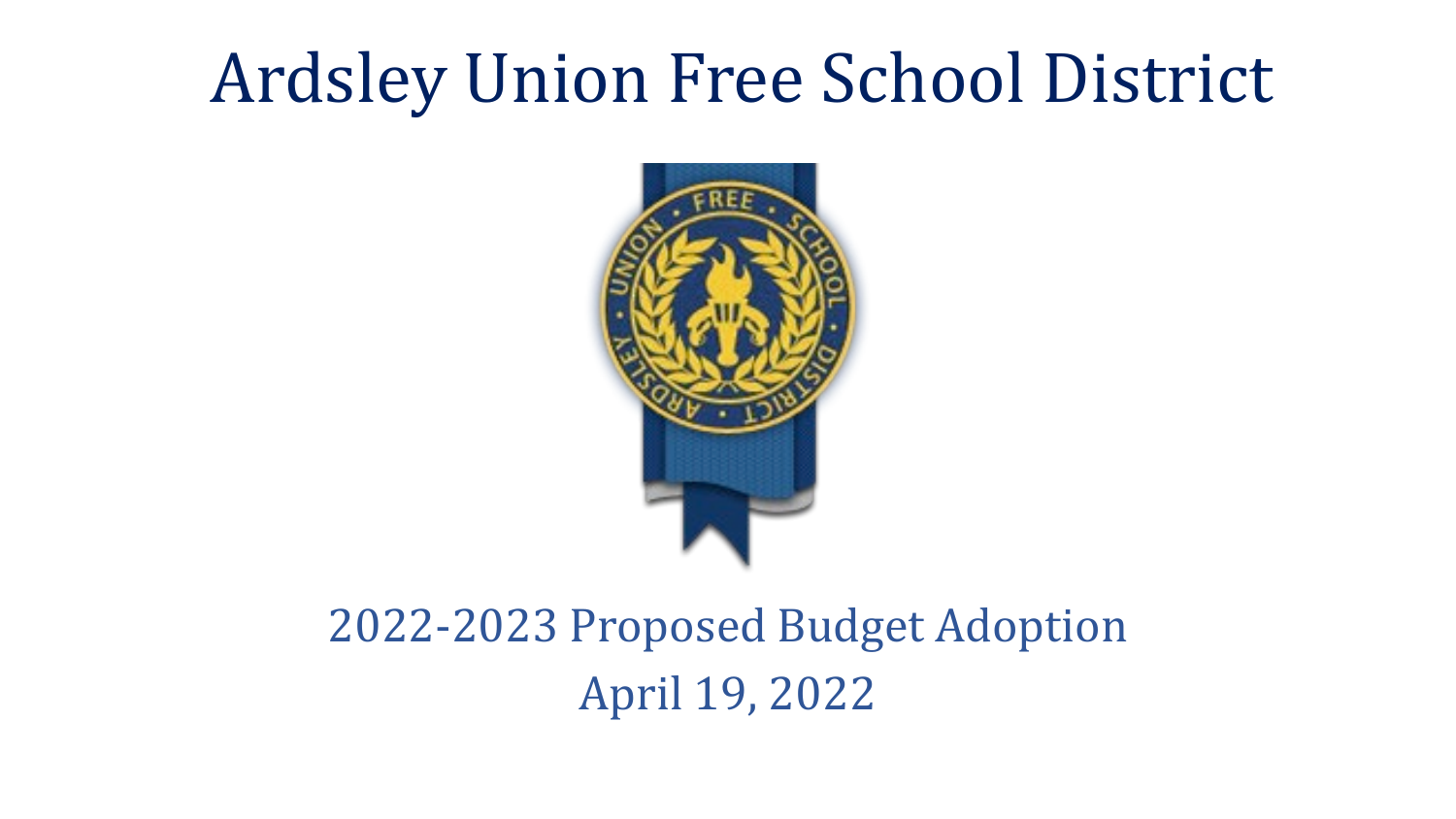# Ardsley Union Free School District



### 2022-2023 Proposed Budget Adoption April 19, 2022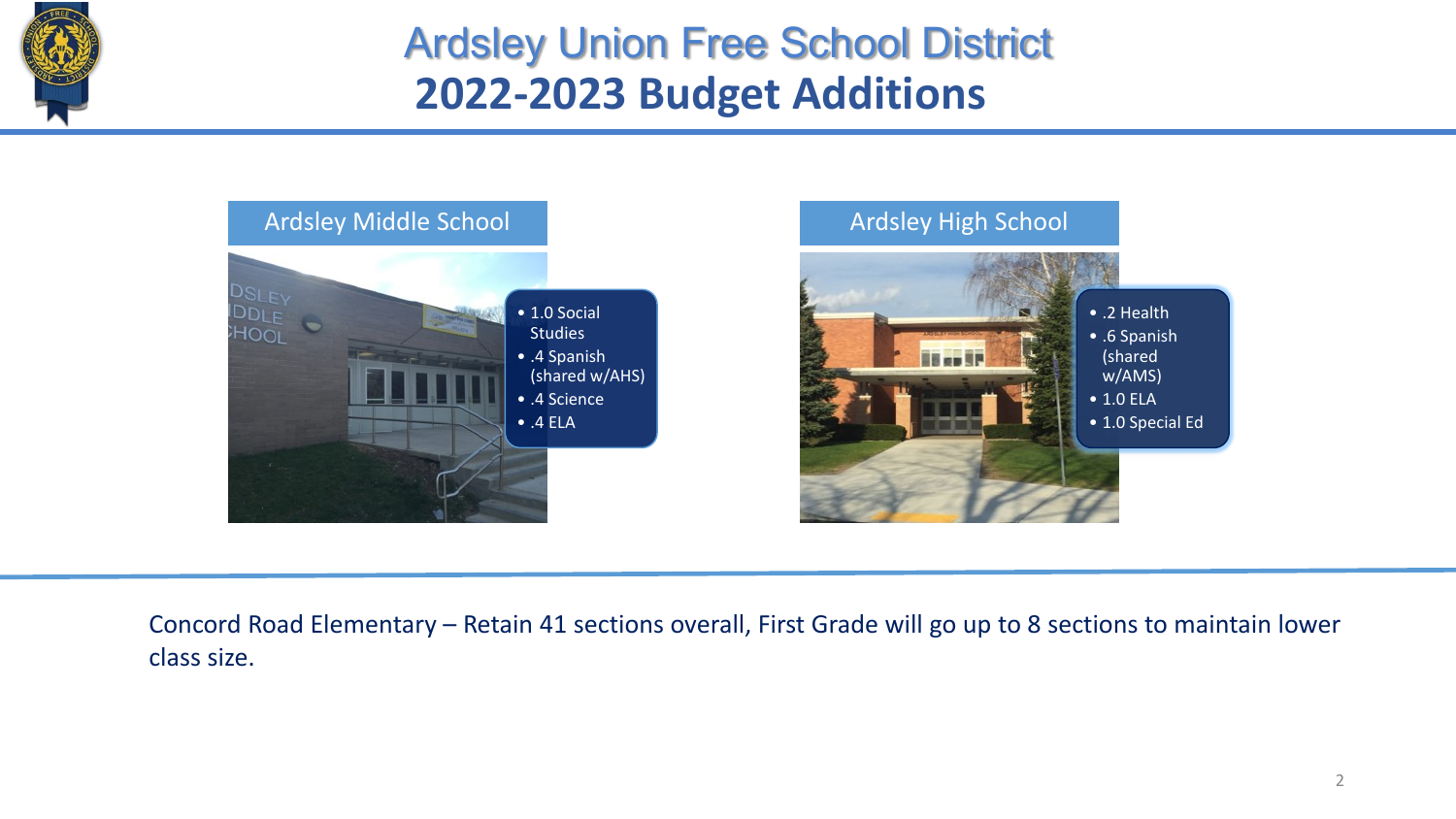

### **2022-2023 Budget Additions** Ardsley Union Free School District



Concord Road Elementary – Retain 41 sections overall, First Grade will go up to 8 sections to maintain lower class size.

• .2 Health • .6 Spanish (shared w/AMS) • 1.0 ELA

• 1.0 Special Ed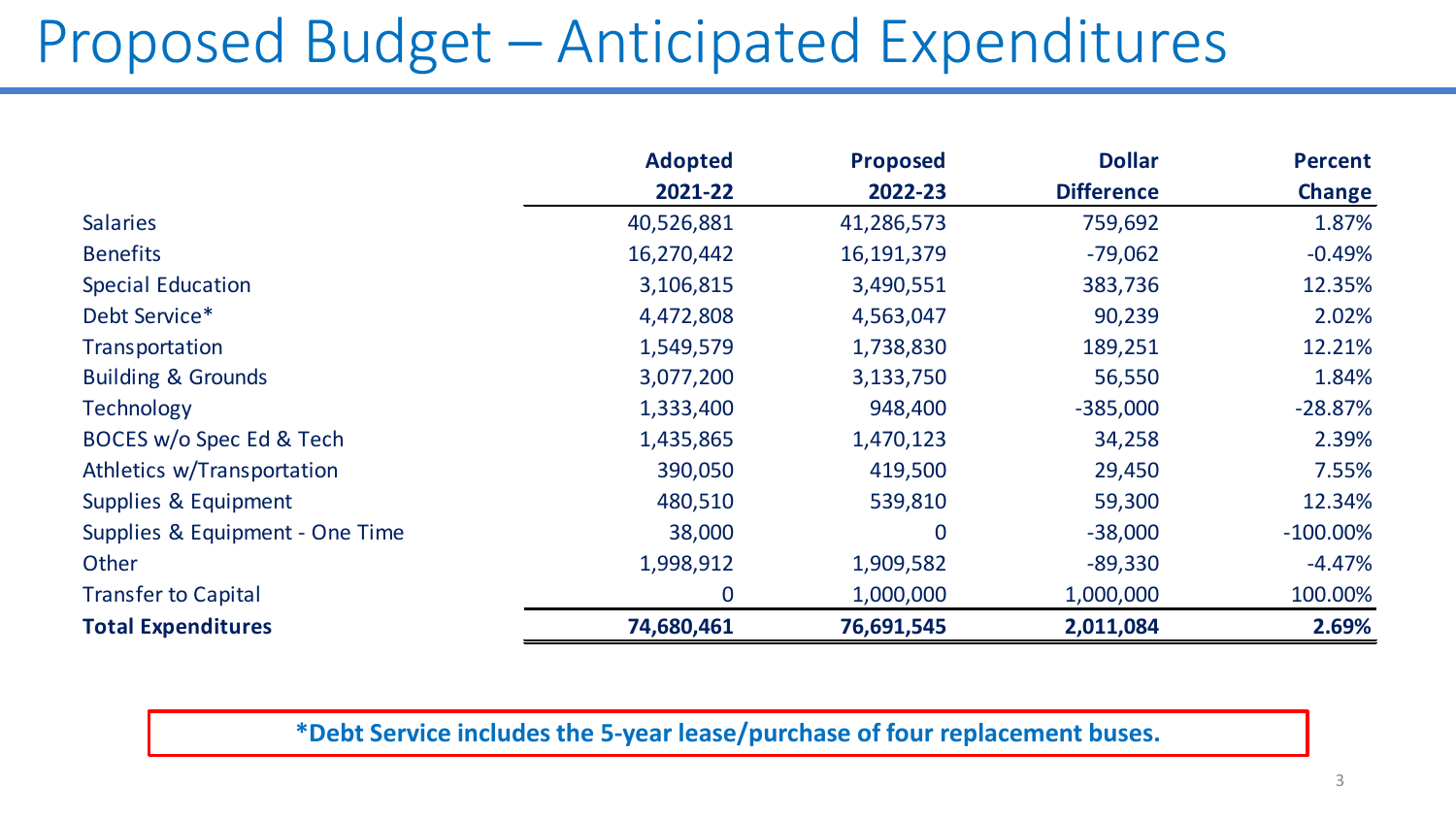## Proposed Budget – Anticipated Expenditures

|                                 | <b>Adopted</b> | <b>Proposed</b> | <b>Dollar</b>     | <b>Percent</b> |
|---------------------------------|----------------|-----------------|-------------------|----------------|
|                                 | 2021-22        | 2022-23         | <b>Difference</b> | <b>Change</b>  |
| <b>Salaries</b>                 | 40,526,881     | 41,286,573      | 759,692           | 1.87%          |
| <b>Benefits</b>                 | 16,270,442     | 16,191,379      | $-79,062$         | $-0.49%$       |
| <b>Special Education</b>        | 3,106,815      | 3,490,551       | 383,736           | 12.35%         |
| Debt Service*                   | 4,472,808      | 4,563,047       | 90,239            | 2.02%          |
| Transportation                  | 1,549,579      | 1,738,830       | 189,251           | 12.21%         |
| <b>Building &amp; Grounds</b>   | 3,077,200      | 3,133,750       | 56,550            | 1.84%          |
| <b>Technology</b>               | 1,333,400      | 948,400         | $-385,000$        | $-28.87%$      |
| BOCES w/o Spec Ed & Tech        | 1,435,865      | 1,470,123       | 34,258            | 2.39%          |
| Athletics w/Transportation      | 390,050        | 419,500         | 29,450            | 7.55%          |
| Supplies & Equipment            | 480,510        | 539,810         | 59,300            | 12.34%         |
| Supplies & Equipment - One Time | 38,000         | $\overline{0}$  | $-38,000$         | $-100.00\%$    |
| Other                           | 1,998,912      | 1,909,582       | $-89,330$         | $-4.47%$       |
| <b>Transfer to Capital</b>      | $\bf{0}$       | 1,000,000       | 1,000,000         | 100.00%        |
| <b>Total Expenditures</b>       | 74,680,461     | 76,691,545      | 2,011,084         | 2.69%          |

#### **\*Debt Service includes the 5-year lease/purchase of four replacement buses.**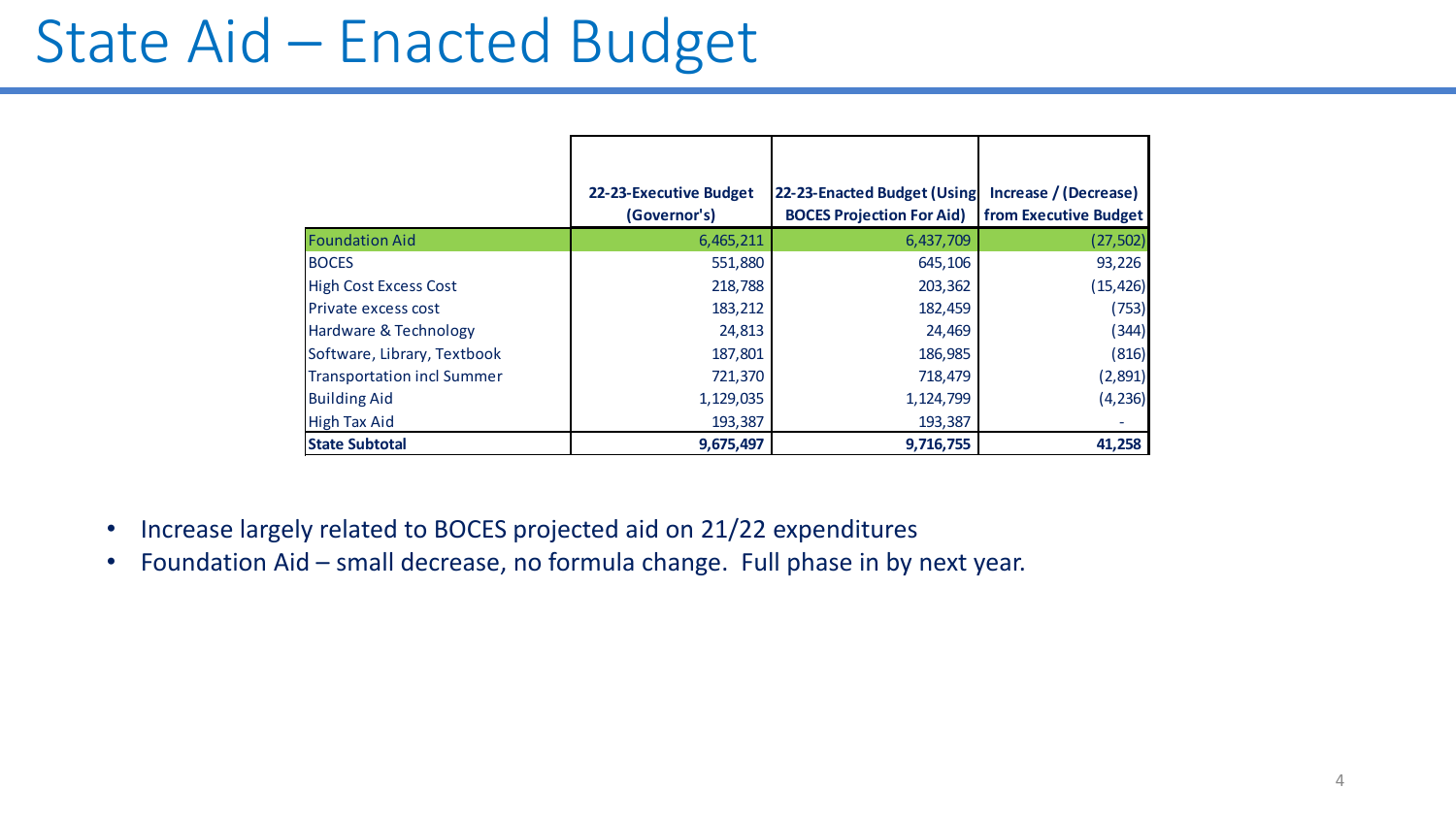### State Aid – Enacted Budget

|                             | 22-23-Executive Budget | 22-23-Enacted Budget (Using      | Increase / (Decrease) |
|-----------------------------|------------------------|----------------------------------|-----------------------|
|                             | (Governor's)           | <b>BOCES Projection For Aid)</b> | from Executive Budget |
| <b>Foundation Aid</b>       | 6,465,211              | 6,437,709                        | (27, 502)             |
| <b>BOCES</b>                | 551,880                | 645,106                          | 93,226                |
| High Cost Excess Cost       | 218,788                | 203,362                          | (15, 426)             |
| <b>Private excess cost</b>  | 183,212                | 182,459                          | (753)                 |
| Hardware & Technology       | 24,813                 | 24,469                           | (344)                 |
| Software, Library, Textbook | 187,801                | 186,985                          | (816)                 |
| Transportation incl Summer  | 721,370                | 718,479                          | (2,891)               |
| <b>Building Aid</b>         | 1,129,035              | 1,124,799                        | (4, 236)              |
| <b>High Tax Aid</b>         | 193,387                | 193,387                          |                       |
| <b>State Subtotal</b>       | 9,675,497              | 9,716,755                        | 41,258                |

- Increase largely related to BOCES projected aid on 21/22 expenditures
- Foundation Aid small decrease, no formula change. Full phase in by next year.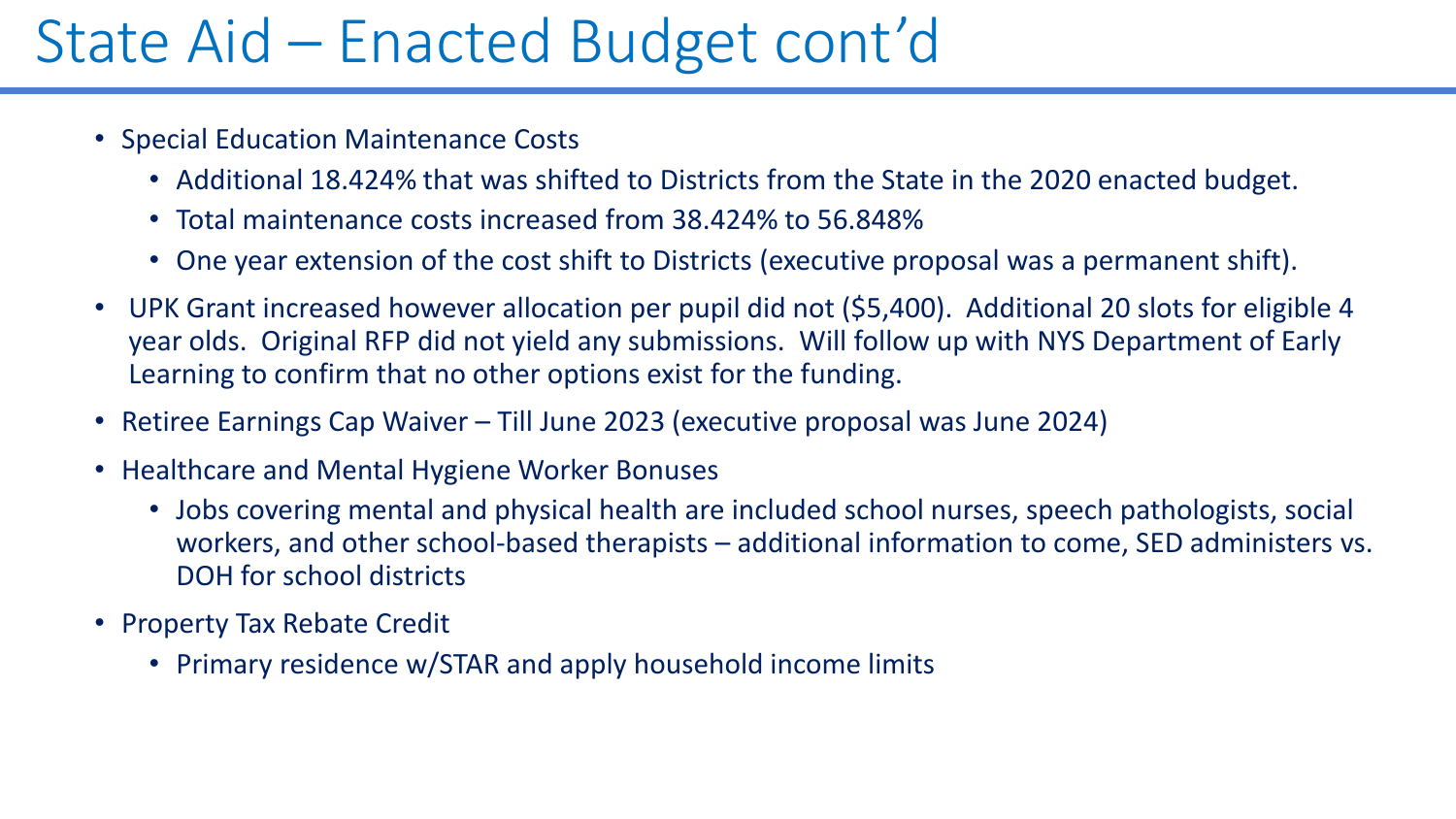### State Aid – Enacted Budget cont'd

- Special Education Maintenance Costs
	- Additional 18.424% that was shifted to Districts from the State in the 2020 enacted budget.
	- Total maintenance costs increased from 38.424% to 56.848%
	- One year extension of the cost shift to Districts (executive proposal was a permanent shift).
- UPK Grant increased however allocation per pupil did not (\$5,400). Additional 20 slots for eligible 4 year olds. Original RFP did not yield any submissions. Will follow up with NYS Department of Early Learning to confirm that no other options exist for the funding.
- Retiree Earnings Cap Waiver Till June 2023 (executive proposal was June 2024)
- Healthcare and Mental Hygiene Worker Bonuses
	- Jobs covering mental and physical health are included school nurses, speech pathologists, social workers, and other school-based therapists – additional information to come, SED administers vs. DOH for school districts
- Property Tax Rebate Credit
	- Primary residence w/STAR and apply household income limits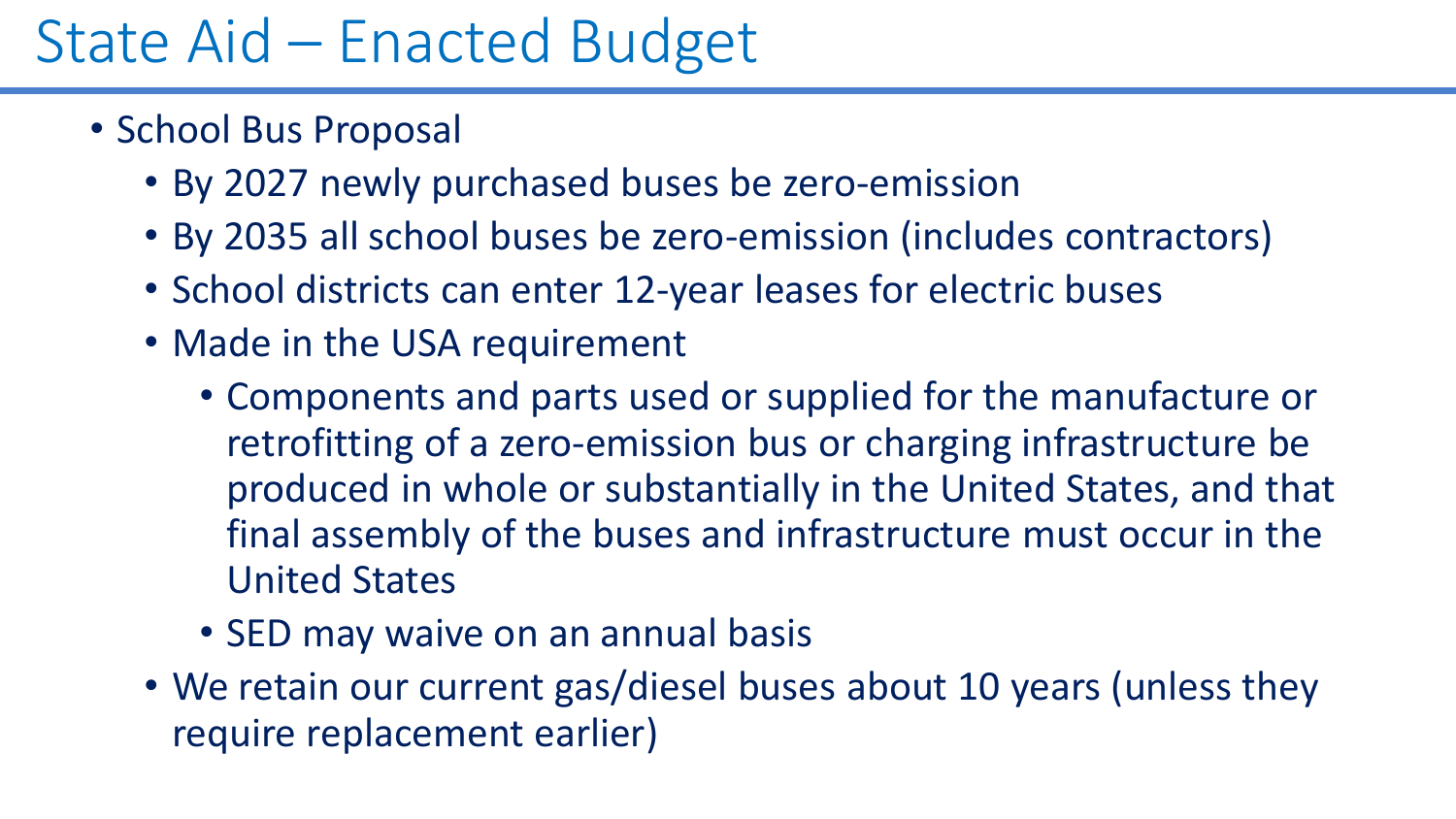## State Aid – Enacted Budget

- School Bus Proposal
	- By 2027 newly purchased buses be zero-emission
	- By 2035 all school buses be zero-emission (includes contractors)
	- School districts can enter 12-year leases for electric buses
	- Made in the USA requirement
		- Components and parts used or supplied for the manufacture or retrofitting of a zero-emission bus or charging infrastructure be produced in whole or substantially in the United States, and that final assembly of the buses and infrastructure must occur in the United States
		- SED may waive on an annual basis
	- We retain our current gas/diesel buses about 10 years (unless they require replacement earlier)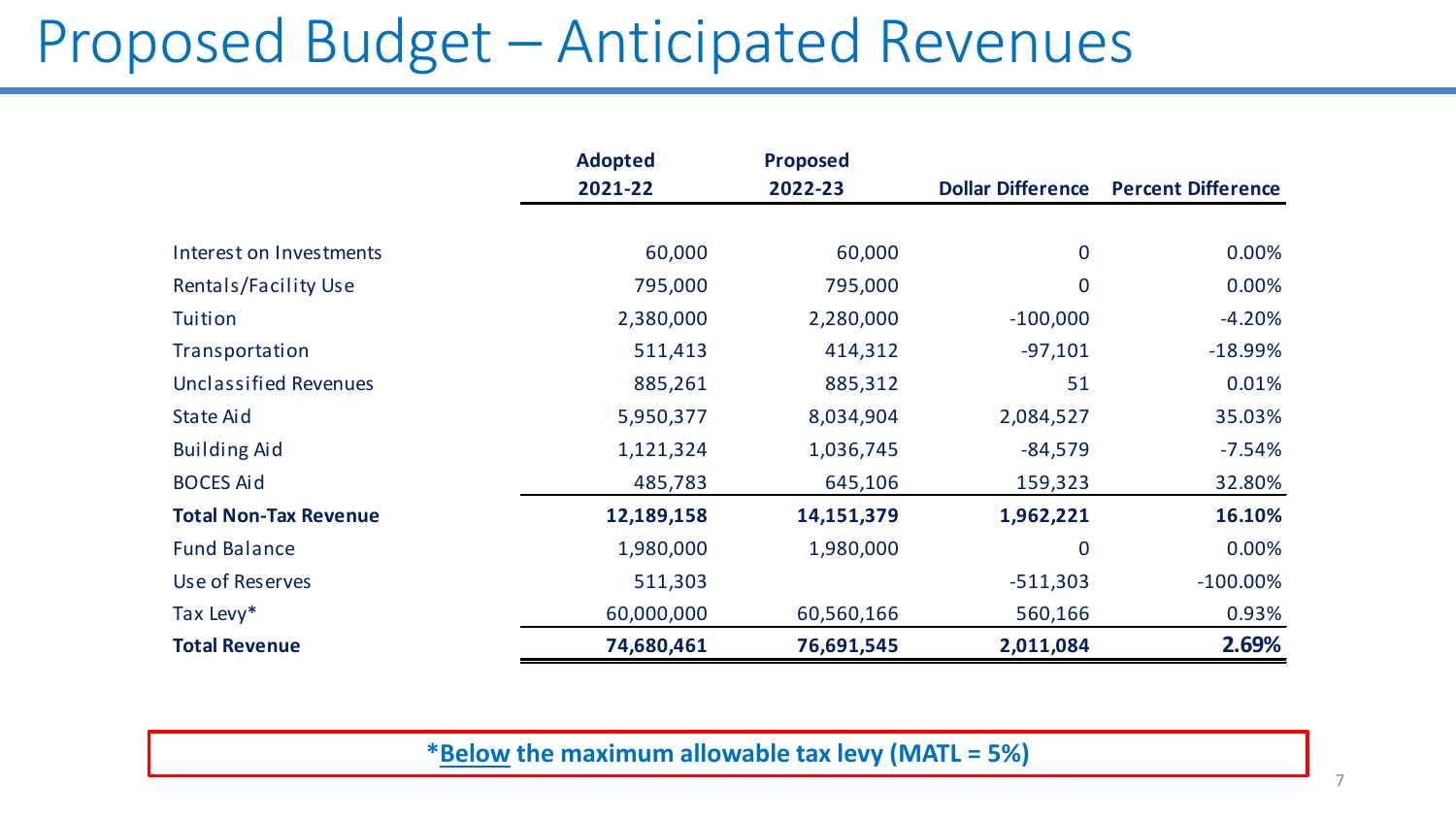### Proposed Budget – Anticipated Revenues

|                              | <b>Adopted</b> | <b>Proposed</b> |                          |                           |
|------------------------------|----------------|-----------------|--------------------------|---------------------------|
|                              | 2021-22        | 2022-23         | <b>Dollar Difference</b> | <b>Percent Difference</b> |
|                              |                |                 |                          |                           |
| Interest on Investments      | 60,000         | 60,000          | 0                        | 0.00%                     |
| Rentals/Facility Use         | 795,000        | 795,000         | 0                        | 0.00%                     |
| Tuition                      | 2,380,000      | 2,280,000       | $-100,000$               | $-4.20%$                  |
| Transportation               | 511,413        | 414,312         | $-97,101$                | $-18.99%$                 |
| <b>Unclassified Revenues</b> | 885,261        | 885,312         | 51                       | 0.01%                     |
| State Aid                    | 5,950,377      | 8,034,904       | 2,084,527                | 35.03%                    |
| <b>Building Aid</b>          | 1,121,324      | 1,036,745       | $-84,579$                | $-7.54%$                  |
| <b>BOCES Aid</b>             | 485,783        | 645,106         | 159,323                  | 32.80%                    |
| <b>Total Non-Tax Revenue</b> | 12,189,158     | 14,151,379      | 1,962,221                | 16.10%                    |
| <b>Fund Balance</b>          | 1,980,000      | 1,980,000       | $\overline{0}$           | 0.00%                     |
| Use of Reserves              | 511,303        |                 | $-511,303$               | $-100.00\%$               |
| Tax Levy*                    | 60,000,000     | 60,560,166      | 560,166                  | 0.93%                     |
| <b>Total Revenue</b>         | 74,680,461     | 76,691,545      | 2,011,084                | 2.69%                     |

**\*Below the maximum allowable tax levy (MATL = 5%)**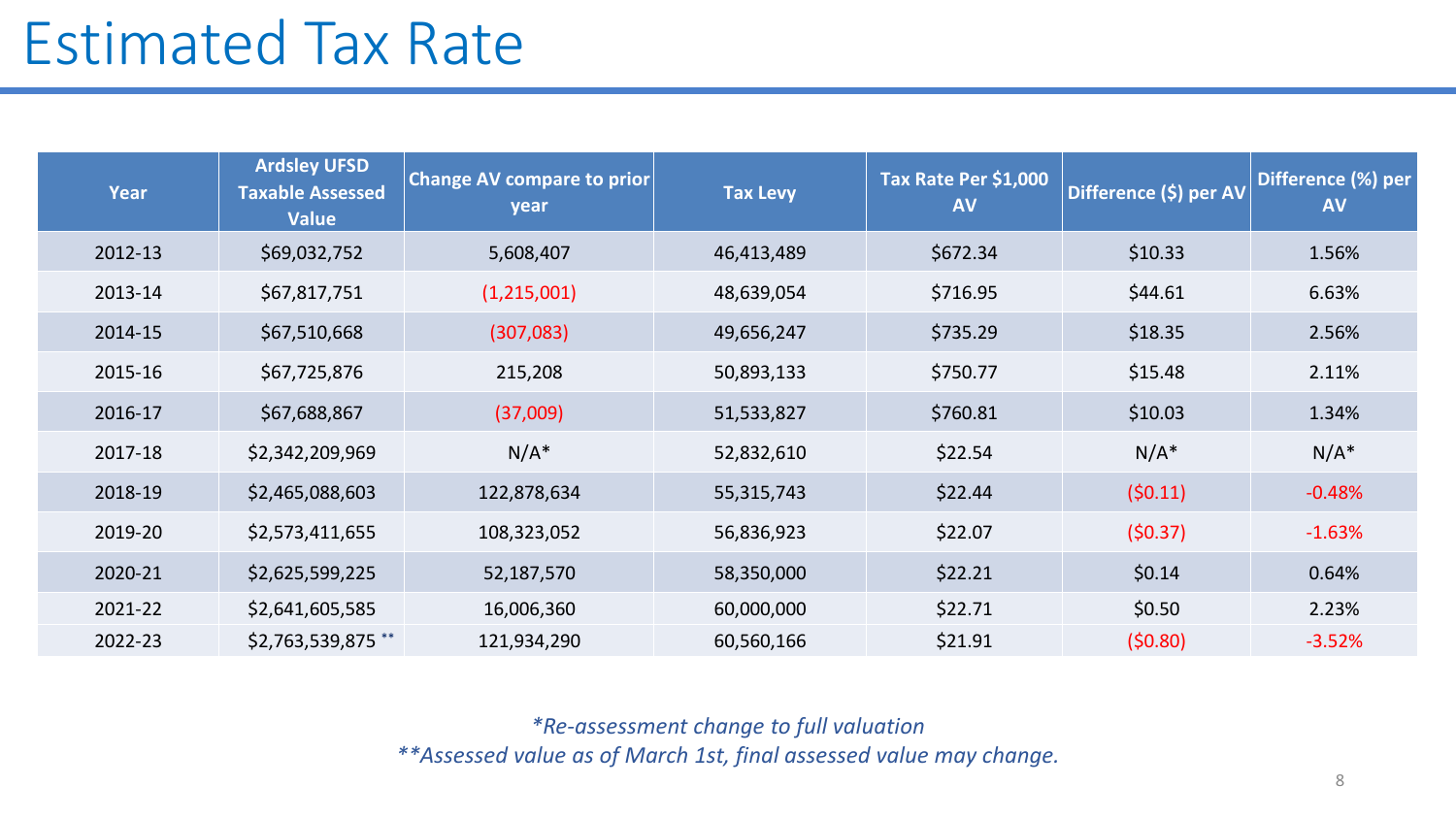### Estimated Tax Rate

| <b>Year</b> | <b>Ardsley UFSD</b><br><b>Taxable Assessed</b><br><b>Value</b> | <b>Change AV compare to prior</b><br>year | <b>Tax Levy</b> | Tax Rate Per \$1,000<br><b>AV</b> | Difference (\$) per AV | Difference (%) per<br><b>AV</b> |
|-------------|----------------------------------------------------------------|-------------------------------------------|-----------------|-----------------------------------|------------------------|---------------------------------|
| 2012-13     | \$69,032,752                                                   | 5,608,407                                 | 46,413,489      | \$672.34                          | \$10.33                | 1.56%                           |
| 2013-14     | \$67,817,751                                                   | (1,215,001)                               | 48,639,054      | \$716.95                          | \$44.61                | 6.63%                           |
| 2014-15     | \$67,510,668                                                   | (307,083)                                 | 49,656,247      | \$735.29                          | \$18.35                | 2.56%                           |
| 2015-16     | \$67,725,876                                                   | 215,208                                   | 50,893,133      | \$750.77                          | \$15.48                | 2.11%                           |
| 2016-17     | \$67,688,867                                                   | (37,009)                                  | 51,533,827      | \$760.81                          | \$10.03                | 1.34%                           |
| 2017-18     | \$2,342,209,969                                                | $N/A^*$                                   | 52,832,610      | \$22.54                           | $N/A^*$                | $N/A^*$                         |
| 2018-19     | \$2,465,088,603                                                | 122,878,634                               | 55, 315, 743    | \$22.44                           | (50.11)                | $-0.48%$                        |
| 2019-20     | \$2,573,411,655                                                | 108,323,052                               | 56,836,923      | \$22.07                           | (50.37)                | $-1.63%$                        |
| 2020-21     | \$2,625,599,225                                                | 52,187,570                                | 58,350,000      | \$22.21                           | \$0.14                 | 0.64%                           |
| 2021-22     | \$2,641,605,585                                                | 16,006,360                                | 60,000,000      | \$22.71                           | \$0.50                 | 2.23%                           |
| 2022-23     | \$2,763,539,875 **                                             | 121,934,290                               | 60,560,166      | \$21.91                           | (50.80)                | $-3.52%$                        |

*\*Re-assessment change to full valuation \*\*Assessed value as of March 1st, final assessed value may change.*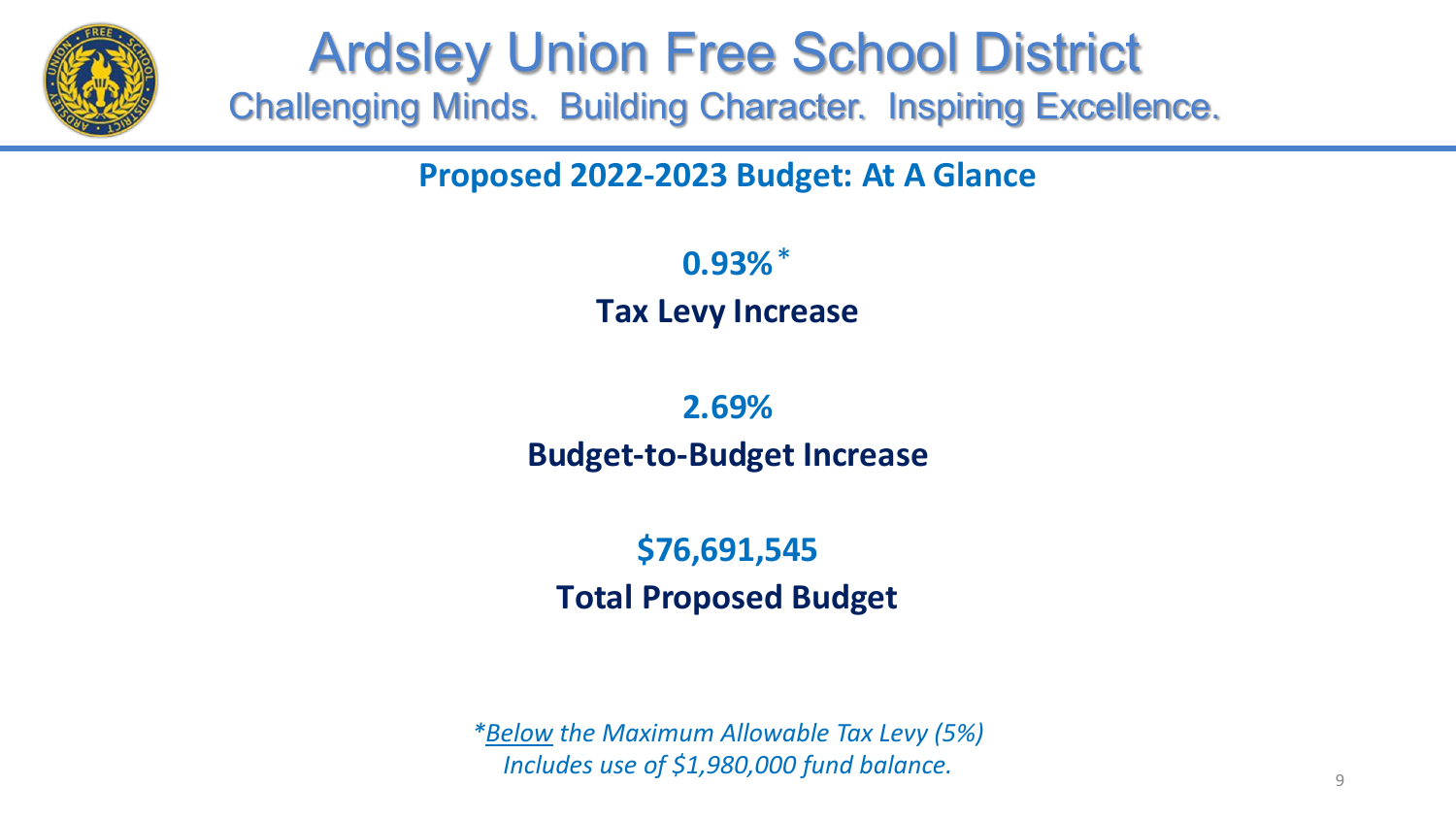

#### **Proposed 2022-2023 Budget: At A Glance**

**0.93%** \***Tax Levy Increase**

#### **Budget-to-Budget Increase 2.69%**

#### **\$76,691,545 Total Proposed Budget**

*\*Below the Maximum Allowable Tax Levy (5%) Includes use of \$1,980,000 fund balance.*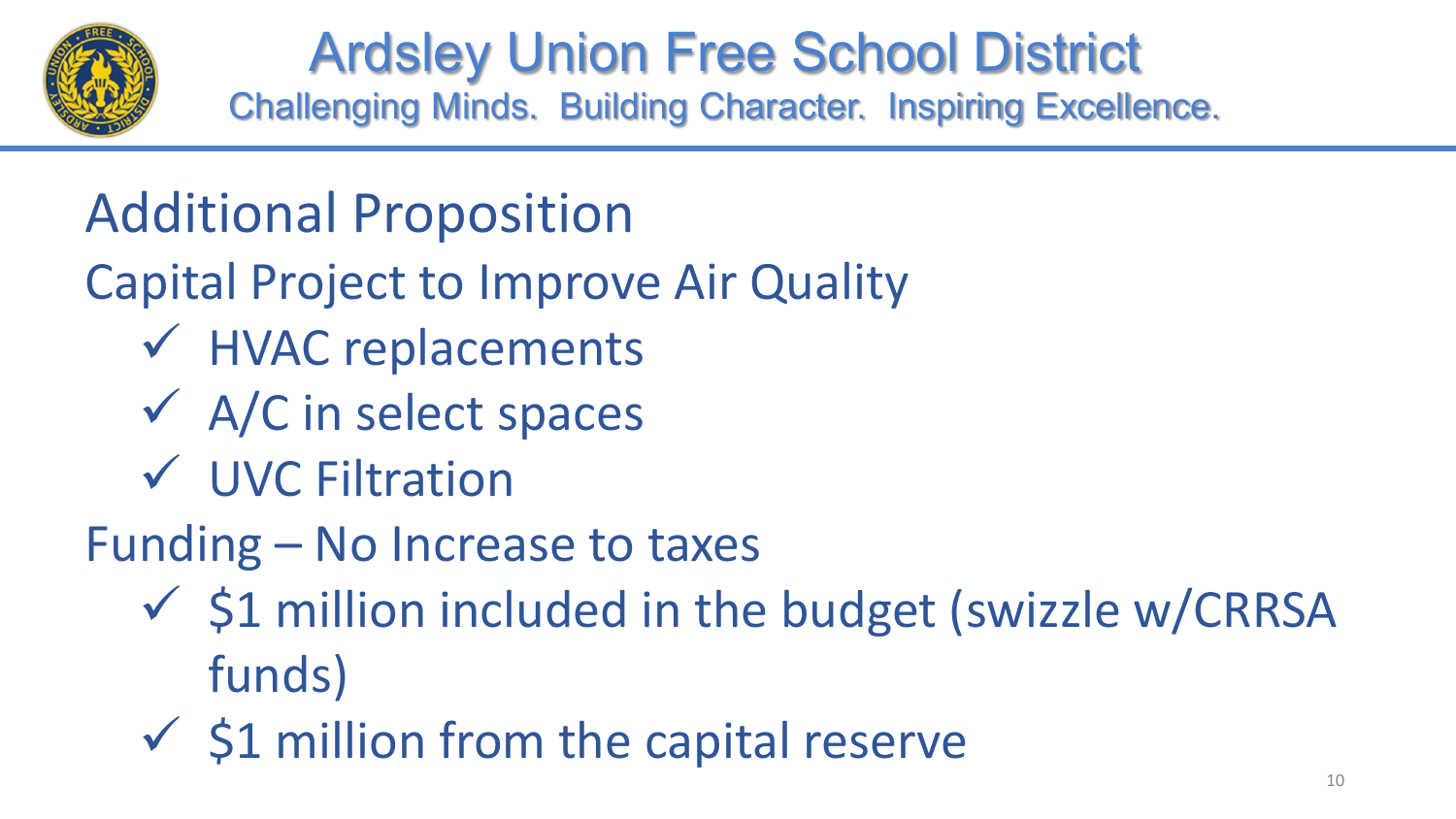

## Additional Proposition

- Capital Project to Improve Air Quality
	- HVAC replacements
	- A/C in select spaces
	- UVC Filtration
- Funding No Increase to taxes
	- $\checkmark$  \$1 million included in the budget (swizzle w/CRRSA funds)
	- $\checkmark$  \$1 million from the capital reserve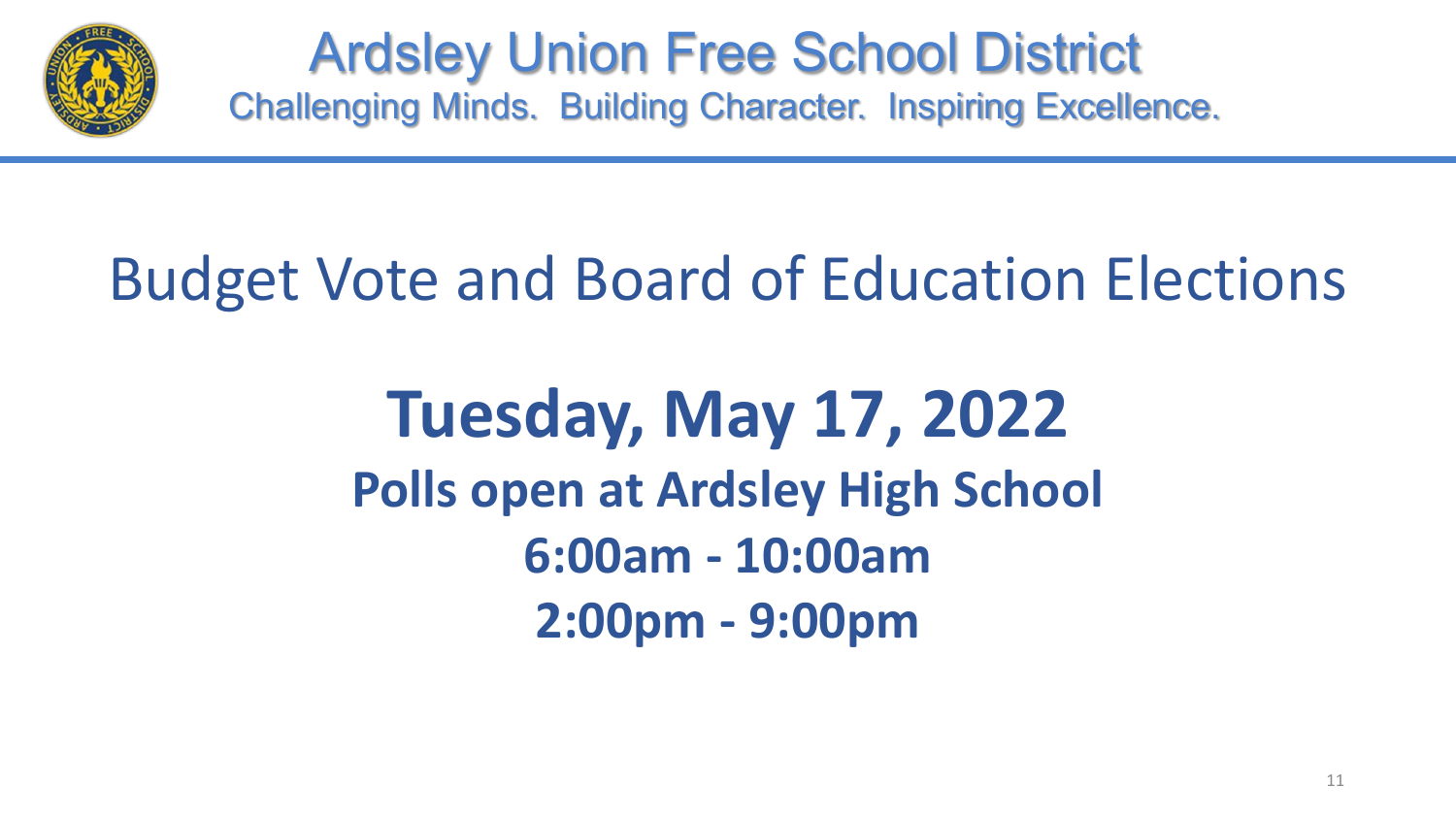

## Budget Vote and Board of Education Elections

**Tuesday, May 17, 2022 Polls open at Ardsley High School 6:00am - 10:00am 2:00pm - 9:00pm**